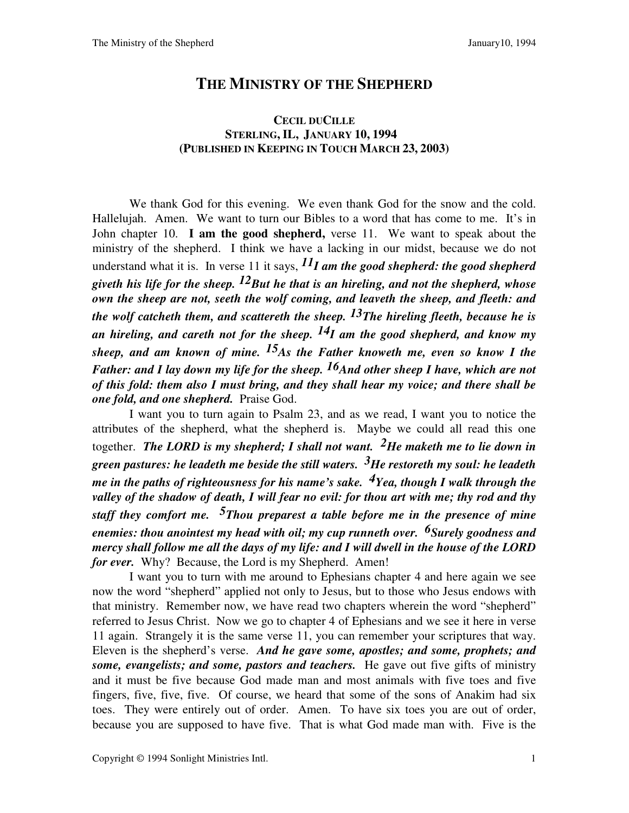## **THE MINISTRY OF THE SHEPHERD**

## **CECIL DUCILLE STERLING, IL, JANUARY 10, 1994**y **(PUBLISHED IN KEEPING IN TOUCH MARCH 23, 2003)**

We thank God for this evening. We even thank God for the snow and the cold. Hallelujah. Amen. We want to turn our Bibles to a word that has come to me. It's in John chapter 10. **I am the good shepherd,** verse 11.We want to speak about the ministry of the shepherd. I think we have a lacking in our midst, because we do not understand what it is. In verse 11 it says,  $^{11}I$  am the good shepherd: the good shepherd *giveth his life for the sheep. 12But he that is an hireling, and not the shepherd, whose own the sheep are not, seeth the wolf coming, and leaveth the sheep, and fleeth: and the wolf catcheth them, and scattereth the sheep. 13The hireling fleeth, because he is an hireling, and careth not for the sheep. 14I am the good shepherd, and know my sheep, and am known of mine. 15As the Father knoweth me, even so know I the Father: and I lay down my life for the sheep.* <sup>16</sup>And other sheep I have, which are not *of this fold: them also I must bring, and they shall hear my voice; and there shall be one fold, and one shepherd.*Praise God.

I want you to turn again to Psalm 23, and as we read, I want you to notice the attributes of the shepherd, what the shepherd is. Maybe we could all read this one together. *The LORD is my shepherd; I shall not want. 2He maketh me to lie down in green pastures: he leadeth me beside the still waters. 3He restoreth my soul: he leadeth me in the paths of righteousness for his name's sake. 4Yea, though I walk through the valley of the shadow of death, I will fear no evil: for thou art with me; thy rod and thy staff they comfort me. 5Thou preparest a table before me in the presence of mine enemies: thou anointest my head with oil; my cup runneth over. 6Surely goodness and mercy shall follow me all the days of my life: and I will dwell in the house of the LORD for ever.* Why? Because, the Lord is my Shepherd. Amen!

I want you to turn with me around to Ephesians chapter 4 and here again we see now the word "shepherd" applied not only to Jesus, but to those who Jesus endows with that ministry. Remember now, we have read two chapters wherein the word "shepherd" referred to Jesus Christ. Now we go to chapter 4 of Ephesians and we see it here in verse 11 again. Strangely it is the same verse 11, you can remember your scriptures that way. Eleven is the shepherd's verse. *And he gave some, apostles; and some, prophets; and some, evangelists; and some, pastors and teachers.*He gave out five gifts of ministry and it must be five because God made man and most animals with five toes and five fingers, five, five, five. Of course, we heard that some of the sons of Anakim had six toes. They were entirely out of order. Amen. To have six toes you are out of order, because you are supposed to have five. That is what God made man with. Five is the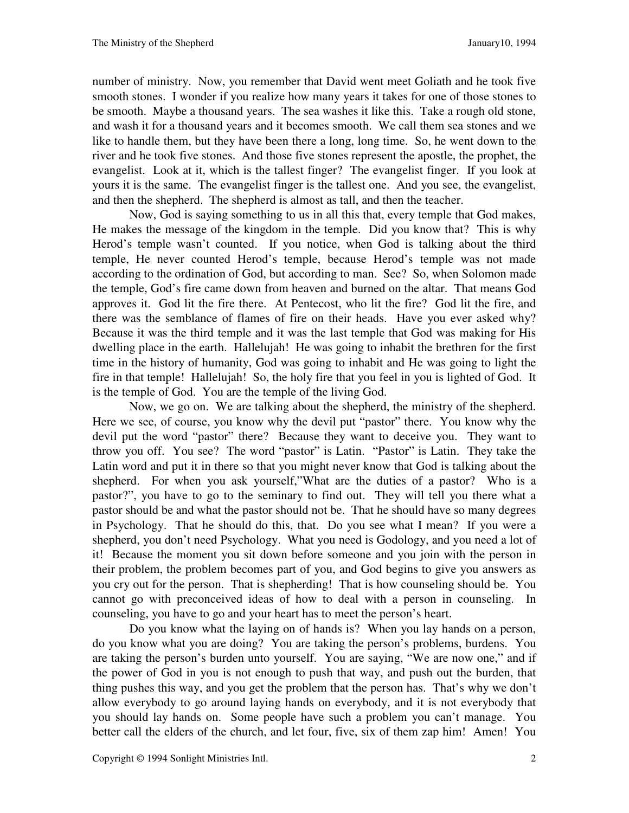number of ministry. Now, you remember that David went meet Goliath and he took five smooth stones. I wonder if you realize how many years it takes for one of those stones to be smooth. Maybe a thousand years. The sea washes it like this. Take a rough old stone, and wash it for a thousand years and it becomes smooth. We call them sea stones and we like to handle them, but they have been there a long, long time. So, he went down to the river and he took five stones. And those five stones represent the apostle, the prophet, the evangelist. Look at it, which is the tallest finger? The evangelist finger. If you look at yours it is the same. The evangelist finger is the tallest one. And you see, the evangelist, and then the shepherd. The shepherd is almost as tall, and then the teacher.

Now, God is saying something to us in all this that, every temple that God makes, He makes the message of the kingdom in the temple. Did you know that? This is why Herod's temple wasn't counted. If you notice, when God is talking about the third temple, He never counted Herod's temple, because Herod's temple was not made according to the ordination of God, but according to man. See? So, when Solomon made the temple, God's fire came down from heaven and burned on the altar. That means God approves it. God lit the fire there. At Pentecost, who lit the fire? God lit the fire, and there was the semblance of flames of fire on their heads. Have you ever asked why? Because it was the third temple and it was the last temple that God was making for His dwelling place in the earth. Hallelujah! He was going to inhabit the brethren for the first time in the history of humanity, God was going to inhabit and He was going to light the fire in that temple! Hallelujah! So, the holy fire that you feel in you is lighted of God. It is the temple of God. You are the temple of the living God.

Now, we go on. We are talking about the shepherd, the ministry of the shepherd. Here we see, of course, you know why the devil put "pastor" there. You know why the devil put the word "pastor" there? Because they want to deceive you. They want to throw you off. You see? The word "pastor" is Latin. "Pastor" is Latin. They take the Latin word and put it in there so that you might never know that God is talking about the shepherd. For when you ask yourself,"What are the duties of a pastor? Who is a pastor?", you have to go to the seminary to find out. They will tell you there what a pastor should be and what the pastor should not be. That he should have so many degrees in Psychology. That he should do this, that. Do you see what I mean? If you were a shepherd, you don't need Psychology. What you need is Godology, and you need a lot of it! Because the moment you sit down before someone and you join with the person in their problem, the problem becomes part of you, and God begins to give you answers as you cry out for the person. That is shepherding! That is how counseling should be. You cannot go with preconceived ideas of how to deal with a person in counseling. In counseling, you have to go and your heart has to meet the person's heart.

Do you know what the laying on of hands is? When you lay hands on a person, do you know what you are doing? You are taking the person's problems, burdens. You are taking the person's burden unto yourself. You are saying, "We are now one," and if the power of God in you is not enough to push that way, and push out the burden, that thing pushes this way, and you get the problem that the person has. That's why we don't allow everybody to go around laying hands on everybody, and it is not everybody that you should lay hands on. Some people have such a problem you can't manage. You better call the elders of the church, and let four, five, six of them zap him! Amen! You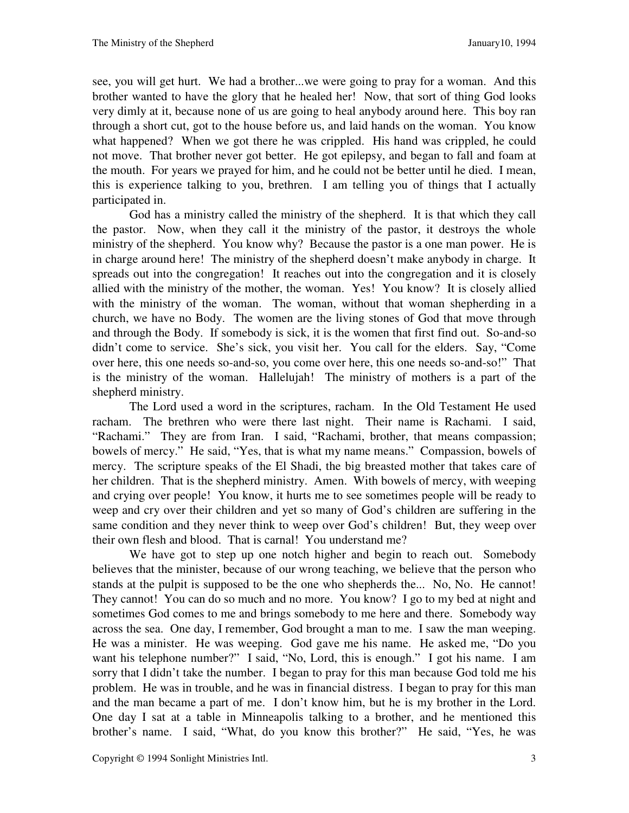see, you will get hurt. We had a brother...we were going to pray for a woman. And this brother wanted to have the glory that he healed her! Now, that sort of thing God looks very dimly at it, because none of us are going to heal anybody around here. This boy ran through a short cut, got to the house before us, and laid hands on the woman. You know what happened? When we got there he was crippled. His hand was crippled, he could not move. That brother never got better. He got epilepsy, and began to fall and foam at the mouth. For years we prayed for him, and he could not be better until he died. I mean, this is experience talking to you, brethren. I am telling you of things that I actually participated in.

God has a ministry called the ministry of the shepherd. It is that which they call the pastor. Now, when they call it the ministry of the pastor, it destroys the whole ministry of the shepherd. You know why? Because the pastor is a one man power. He is in charge around here! The ministry of the shepherd doesn't make anybody in charge. It spreads out into the congregation! It reaches out into the congregation and it is closely allied with the ministry of the mother, the woman. Yes! You know? It is closely allied with the ministry of the woman. The woman, without that woman shepherding in a church, we have no Body. The women are the living stones of God that move through and through the Body. If somebody is sick, it is the women that first find out. So-and-so didn't come to service. She's sick, you visit her. You call for the elders. Say, "Come over here, this one needs so-and-so, you come over here, this one needs so-and-so!" That is the ministry of the woman. Hallelujah! The ministry of mothers is a part of the shepherd ministry.

The Lord used a word in the scriptures, racham. In the Old Testament He used racham. The brethren who were there last night. Their name is Rachami. I said, "Rachami." They are from Iran. I said, "Rachami, brother, that means compassion; bowels of mercy." He said, "Yes, that is what my name means." Compassion, bowels of mercy. The scripture speaks of the El Shadi, the big breasted mother that takes care of her children. That is the shepherd ministry. Amen. With bowels of mercy, with weeping and crying over people! You know, it hurts me to see sometimes people will be ready to weep and cry over their children and yet so many of God's children are suffering in the same condition and they never think to weep over God's children! But, they weep over their own flesh and blood. That is carnal! You understand me?

We have got to step up one notch higher and begin to reach out. Somebody believes that the minister, because of our wrong teaching, we believe that the person who stands at the pulpit is supposed to be the one who shepherds the... No, No. He cannot! They cannot! You can do so much and no more. You know? I go to my bed at night and sometimes God comes to me and brings somebody to me here and there. Somebody way across the sea. One day, I remember, God brought a man to me. I saw the man weeping. He was a minister. He was weeping. God gave me his name. He asked me, "Do you want his telephone number?" I said, "No, Lord, this is enough." I got his name. I am sorry that I didn't take the number. I began to pray for this man because God told me his problem. He was in trouble, and he was in financial distress. I began to pray for this man and the man became a part of me. I don't know him, but he is my brother in the Lord. One day I sat at a table in Minneapolis talking to a brother, and he mentioned this brother's name. I said, "What, do you know this brother?" He said, "Yes, he was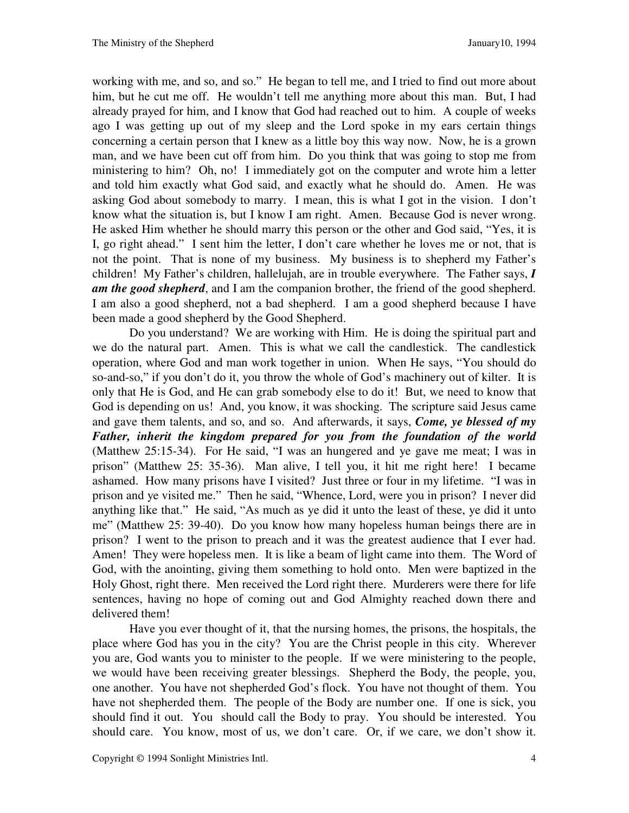working with me, and so, and so." He began to tell me, and I tried to find out more about him, but he cut me off. He wouldn't tell me anything more about this man. But, I had already prayed for him, and I know that God had reached out to him. A couple of weeks ago I was getting up out of my sleep and the Lord spoke in my ears certain things concerning a certain person that I knew as a little boy this way now. Now, he is a grown man, and we have been cut off from him. Do you think that was going to stop me from ministering to him? Oh, no! I immediately got on the computer and wrote him a letter and told him exactly what God said, and exactly what he should do. Amen. He was asking God about somebody to marry. I mean, this is what I got in the vision. I don't know what the situation is, but I know I am right. Amen. Because God is never wrong. He asked Him whether he should marry this person or the other and God said, "Yes, it is I, go right ahead." I sent him the letter, I don't care whether he loves me or not, that is not the point. That is none of my business. My business is to shepherd my Father's children! My Father's children, hallelujah, are in trouble everywhere. The Father says, *I am the good shepherd*, and I am the companion brother, the friend of the good shepherd. I am also a good shepherd, not a bad shepherd. I am a good shepherd because I have been made a good shepherd by the Good Shepherd.

Do you understand? We are working with Him. He is doing the spiritual part and we do the natural part. Amen. This is what we call the candlestick. The candlestick operation, where God and man work together in union. When He says, "You should do so-and-so," if you don't do it, you throw the whole of God's machinery out of kilter. It is only that He is God, and He can grab somebody else to do it! But, we need to know that God is depending on us! And, you know, it was shocking. The scripture said Jesus came and gave them talents, and so, and so. And afterwards, it says, *Come, ye blessed of my Father, inherit the kingdom prepared for you from the foundation of the world* (Matthew 25:15-34). For He said, "I was an hungered and ye gave me meat; I was in prison" (Matthew 25: 35-36). Man alive, I tell you, it hit me right here! I became ashamed. How many prisons have I visited? Just three or four in my lifetime. "I was in prison and ye visited me."Then he said, "Whence, Lord, were you in prison? I never did anything like that." He said, "As much as ye did it unto the least of these, ye did it unto me" (Matthew 25: 39-40). Do you know how many hopeless human beings there are in prison? I went to the prison to preach and it was the greatest audience that I ever had. Amen! They were hopeless men. It is like a beam of light came into them. The Word of God, with the anointing, giving them something to hold onto. Men were baptized in the Holy Ghost, right there. Men received the Lord right there. Murderers were there for life sentences, having no hope of coming out and God Almighty reached down there and delivered them!

Have you ever thought of it, that the nursing homes, the prisons, the hospitals, the place where God has you in the city? You are the Christ people in this city. Wherever you are, God wants you to minister to the people. If we were ministering to the people, we would have been receiving greater blessings. Shepherd the Body, the people, you, one another. You have not shepherded God's flock. You have not thought of them. You have not shepherded them. The people of the Body are number one. If one is sick, you should find it out. You should call the Body to pray. You should be interested. You should care. You know, most of us, we don't care. Or, if we care, we don't show it.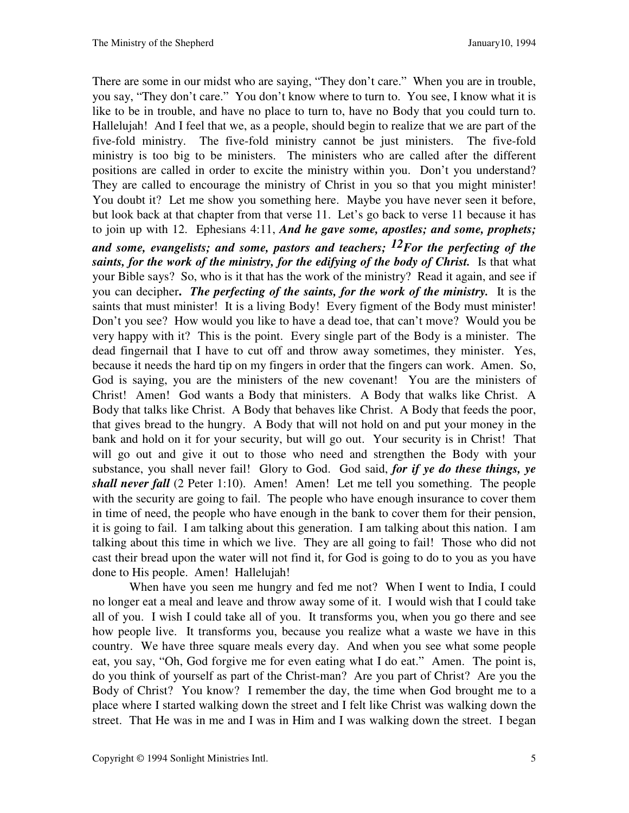There are some in our midst who are saying, "They don't care." When you are in trouble, you say, "They don't care." You don't know where to turn to. You see, I know what it is like to be in trouble, and have no place to turn to, have no Body that you could turn to. Hallelujah! And I feel that we, as a people, should begin to realize that we are part of the five-fold ministry. The five-fold ministry cannot be just ministers. The five-fold ministry is too big to be ministers. The ministers who are called after the different positions are called in order to excite the ministry within you. Don't you understand? They are called to encourage the ministry of Christ in you so that you might minister! You doubt it? Let me show you something here. Maybe you have never seen it before, but look back at that chapter from that verse 11. Let's go back to verse 11 because it has to join up with 12. Ephesians 4:11, *And he gave some, apostles; and some, prophets; and some, evangelists; and some, pastors and teachers; 12For the perfecting of the saints, for the work of the ministry, for the edifying of the body of Christ.*Is that what your Bible says? So, who is it that has the work of the ministry? Read it again, and see if you can decipher**.** *The perfecting of the saints, for the work of the ministry.* It is the saints that must minister! It is a living Body! Every figment of the Body must minister! Don't you see? How would you like to have a dead toe, that can't move? Would you be very happy with it? This is the point. Every single part of the Body is a minister. The dead fingernail that I have to cut off and throw away sometimes, they minister. Yes, because it needs the hard tip on my fingers in order that the fingers can work. Amen. So, God is saying, you are the ministers of the new covenant! You are the ministers of Christ! Amen! God wants a Body that ministers. A Body that walks like Christ. A Body that talks like Christ. A Body that behaves like Christ. A Body that feeds the poor, that gives bread to the hungry. A Body that will not hold on and put your money in the bank and hold on it for your security, but will go out. Your security is in Christ! That will go out and give it out to those who need and strengthen the Body with your substance, you shall never fail! Glory to God. God said, *for if ye do these things, ye shall never fall* (2 Peter 1:10). Amen! Amen! Let me tell you something. The people with the security are going to fail. The people who have enough insurance to cover them in time of need, the people who have enough in the bank to cover them for their pension, it is going to fail. I am talking about this generation. I am talking about this nation. I am talking about this time in which we live. They are all going to fail! Those who did not cast their bread upon the water will not find it, for God is going to do to you as you have done to His people. Amen! Hallelujah!

When have you seen me hungry and fed me not? When I went to India, I could no longer eat a meal and leave and throw away some of it. I would wish that I could take all of you. I wish I could take all of you. It transforms you, when you go there and see how people live. It transforms you, because you realize what a waste we have in this country. We have three square meals every day. And when you see what some people eat, you say, "Oh, God forgive me for even eating what I do eat." Amen. The point is, do you think of yourself as part of the Christ-man? Are you part of Christ? Are you the Body of Christ? You know? I remember the day, the time when God brought me to a place where I started walking down the street and I felt like Christ was walking down the street. That He was in me and I was in Him and I was walking down the street. I began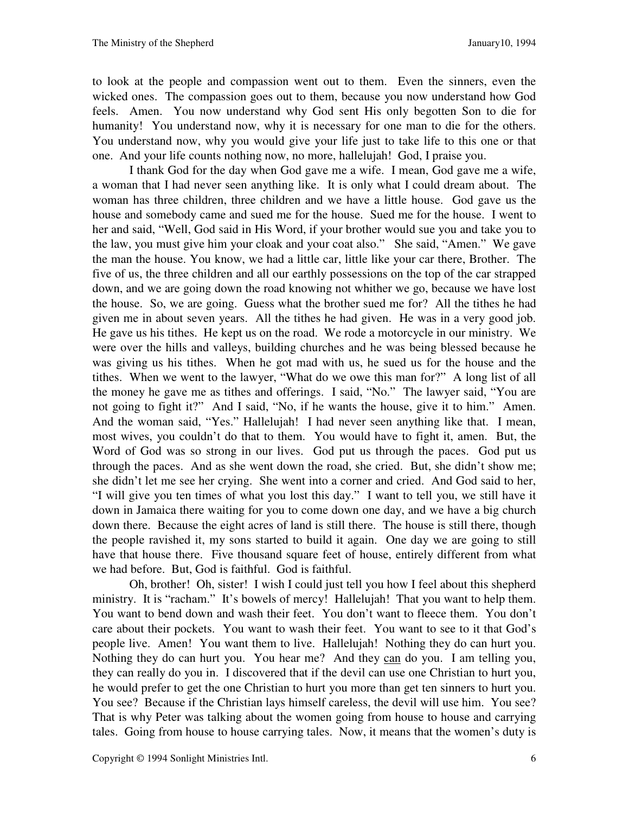to look at the people and compassion went out to them. Even the sinners, even the wicked ones. The compassion goes out to them, because you now understand how God feels. Amen. You now understand why God sent His only begotten Son to die for humanity! You understand now, why it is necessary for one man to die for the others. You understand now, why you would give your life just to take life to this one or that one. And your life counts nothing now, no more, hallelujah! God, I praise you.

I thank God for the day when God gave me a wife. I mean, God gave me a wife, a woman that I had never seen anything like. It is only what I could dream about. The woman has three children, three children and we have a little house. God gave us the house and somebody came and sued me for the house. Sued me for the house. I went to her and said, "Well, God said in His Word, if your brother would sue you and take you to the law, you must give him your cloak and your coat also." She said, "Amen." We gave the man the house. You know, we had a little car, little like your car there, Brother. The five of us, the three children and all our earthly possessions on the top of the car strapped down, and we are going down the road knowing not whither we go, because we have lost the house. So, we are going. Guess what the brother sued me for? All the tithes he had given me in about seven years. All the tithes he had given. He was in a very good job. He gave us his tithes. He kept us on the road. We rode a motorcycle in our ministry. We were over the hills and valleys, building churches and he was being blessed because he was giving us his tithes. When he got mad with us, he sued us for the house and the tithes. When we went to the lawyer, "What do we owe this man for?" A long list of all the money he gave me as tithes and offerings. I said, "No." The lawyer said, "You are not going to fight it?" And I said, "No, if he wants the house, give it to him." Amen. And the woman said, "Yes." Hallelujah! I had never seen anything like that. I mean, most wives, you couldn't do that to them. You would have to fight it, amen. But, the Word of God was so strong in our lives. God put us through the paces. God put us through the paces. And as she went down the road, she cried. But, she didn't show me; she didn't let me see her crying. She went into a corner and cried. And God said to her, "I will give you ten times of what you lost this day." I want to tell you, we still have it down in Jamaica there waiting for you to come down one day, and we have a big church down there. Because the eight acres of land is still there. The house is still there, though the people ravished it, my sons started to build it again. One day we are going to still have that house there. Five thousand square feet of house, entirely different from what we had before. But, God is faithful. God is faithful.

Oh, brother! Oh, sister! I wish I could just tell you how I feel about this shepherd ministry. It is "racham." It's bowels of mercy! Hallelujah! That you want to help them. You want to bend down and wash their feet. You don't want to fleece them. You don't care about their pockets. You want to wash their feet. You want to see to it that God's people live. Amen! You want them to live. Hallelujah! Nothing they do can hurt you. Nothing they do can hurt you. You hear me? And they can do you. I am telling you, they can really do you in. I discovered that if the devil can use one Christian to hurt you, he would prefer to get the one Christian to hurt you more than get ten sinners to hurt you. You see? Because if the Christian lays himself careless, the devil will use him. You see? That is why Peter was talking about the women going from house to house and carrying tales. Going from house to house carrying tales. Now, it means that the women's duty is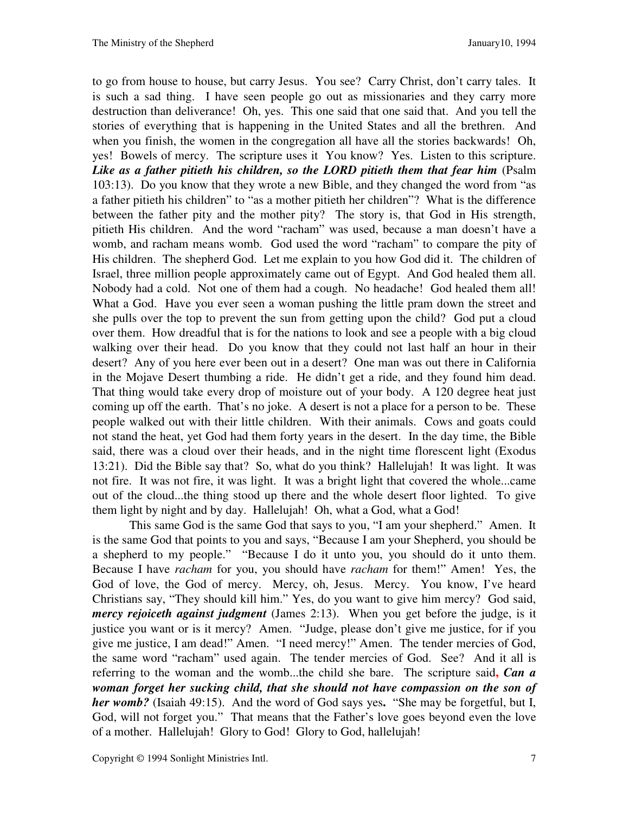to go from house to house, but carry Jesus. You see? Carry Christ, don't carry tales. It is such a sad thing. I have seen people go out as missionaries and they carry more destruction than deliverance! Oh, yes. This one said that one said that. And you tell the stories of everything that is happening in the United States and all the brethren. And when you finish, the women in the congregation all have all the stories backwards! Oh, yes! Bowels of mercy. The scripture uses it You know? Yes. Listen to this scripture. *Like as a father pitieth his children, so the LORD pitieth them that fear him* (Psalm 103:13). Do you know that they wrote a new Bible, and they changed the word from "as a father pitieth his children" to "as a mother pitieth her children"? What is the difference between the father pity and the mother pity? The story is, that God in His strength, pitieth His children. And the word "racham" was used, because a man doesn't have a womb, and racham means womb. God used the word "racham" to compare the pity of His children. The shepherd God. Let me explain to you how God did it. The children of Israel, three million people approximately came out of Egypt. And God healed them all. Nobody had a cold. Not one of them had a cough. No headache! God healed them all! What a God. Have you ever seen a woman pushing the little pram down the street and she pulls over the top to prevent the sun from getting upon the child? God put a cloud over them. How dreadful that is for the nations to look and see a people with a big cloud walking over their head. Do you know that they could not last half an hour in their desert? Any of you here ever been out in a desert? One man was out there in California in the Mojave Desert thumbing a ride. He didn't get a ride, and they found him dead. That thing would take every drop of moisture out of your body. A 120 degree heat just coming up off the earth. That's no joke. A desert is not a place for a person to be. These people walked out with their little children. With their animals. Cows and goats could not stand the heat, yet God had them forty years in the desert. In the day time, the Bible said, there was a cloud over their heads, and in the night time florescent light (Exodus 13:21). Did the Bible say that? So, what do you think? Hallelujah! It was light. It was not fire. It was not fire, it was light. It was a bright light that covered the whole...came out of the cloud...the thing stood up there and the whole desert floor lighted. To give them light by night and by day. Hallelujah! Oh, what a God, what a God!

This same God is the same God that says to you, "I am your shepherd." Amen. It is the same God that points to you and says, "Because I am your Shepherd, you should be a shepherd to my people." "Because I do it unto you, you should do it unto them. Because I have *racham* for you, you should have *racham* for them!" Amen! Yes, the God of love, the God of mercy. Mercy, oh, Jesus. Mercy. You know, I've heard Christians say, "They should kill him." Yes, do you want to give him mercy? God said, *mercy rejoiceth against judgment* (James 2:13). When you get before the judge, is it justice you want or is it mercy? Amen. "Judge, please don't give me justice, for if you give me justice, I am dead!" Amen. "I need mercy!" Amen. The tender mercies of God, the same word "racham" used again. The tender mercies of God. See? And it all is referring to the woman and the womb...the child she bare. The scripture said**,** *Can a woman forget her sucking child, that she should not have compassion on the son of her womb?* (Isaiah 49:15). And the word of God says yes**.** "She may be forgetful, but I, God, will not forget you." That means that the Father's love goes beyond even the love of a mother. Hallelujah! Glory to God! Glory to God, hallelujah!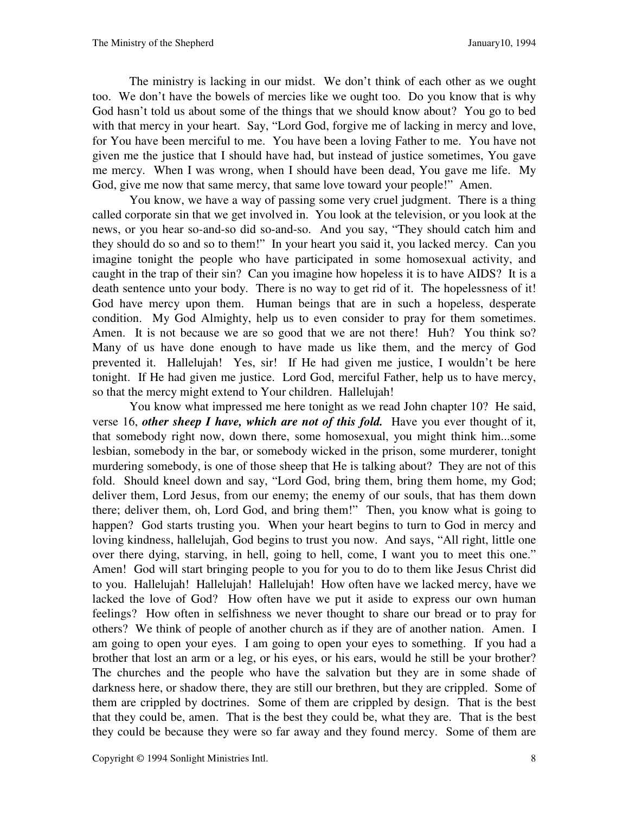The ministry is lacking in our midst. We don't think of each other as we ought too. We don't have the bowels of mercies like we ought too. Do you know that is why God hasn't told us about some of the things that we should know about? You go to bed with that mercy in your heart. Say, "Lord God, forgive me of lacking in mercy and love, for You have been merciful to me. You have been a loving Father to me. You have not given me the justice that I should have had, but instead of justice sometimes, You gave me mercy. When I was wrong, when I should have been dead, You gave me life. My God, give me now that same mercy, that same love toward your people!" Amen.

You know, we have a way of passing some very cruel judgment. There is a thing called corporate sin that we get involved in. You look at the television, or you look at the news, or you hear so-and-so did so-and-so. And you say, "They should catch him and they should do so and so to them!" In your heart you said it, you lacked mercy. Can you imagine tonight the people who have participated in some homosexual activity, and caught in the trap of their sin? Can you imagine how hopeless it is to have AIDS? It is a death sentence unto your body. There is no way to get rid of it. The hopelessness of it! God have mercy upon them. Human beings that are in such a hopeless, desperate condition. My God Almighty, help us to even consider to pray for them sometimes. Amen. It is not because we are so good that we are not there! Huh? You think so? Many of us have done enough to have made us like them, and the mercy of God prevented it. Hallelujah! Yes, sir! If He had given me justice, I wouldn't be here tonight. If He had given me justice. Lord God, merciful Father, help us to have mercy, so that the mercy might extend to Your children. Hallelujah!

You know what impressed me here tonight as we read John chapter 10? He said, verse 16, *other sheep I have, which are not of this fold.*Have you ever thought of it, that somebody right now, down there, some homosexual, you might think him...some lesbian, somebody in the bar, or somebody wicked in the prison, some murderer, tonight murdering somebody, is one of those sheep that He is talking about? They are not of this fold. Should kneel down and say, "Lord God, bring them, bring them home, my God; deliver them, Lord Jesus, from our enemy; the enemy of our souls, that has them down there; deliver them, oh, Lord God, and bring them!" Then, you know what is going to happen? God starts trusting you. When your heart begins to turn to God in mercy and loving kindness, hallelujah, God begins to trust you now. And says, "All right, little one over there dying, starving, in hell, going to hell, come, I want you to meet this one." Amen! God will start bringing people to you for you to do to them like Jesus Christ did to you. Hallelujah! Hallelujah! Hallelujah! How often have we lacked mercy, have we lacked the love of God? How often have we put it aside to express our own human feelings? How often in selfishness we never thought to share our bread or to pray for others? We think of people of another church as if they are of another nation. Amen. I am going to open your eyes. I am going to open your eyes to something. If you had a brother that lost an arm or a leg, or his eyes, or his ears, would he still be your brother? The churches and the people who have the salvation but they are in some shade of darkness here, or shadow there, they are still our brethren, but they are crippled. Some of them are crippled by doctrines. Some of them are crippled by design. That is the best that they could be, amen. That is the best they could be, what they are. That is the best they could be because they were so far away and they found mercy. Some of them are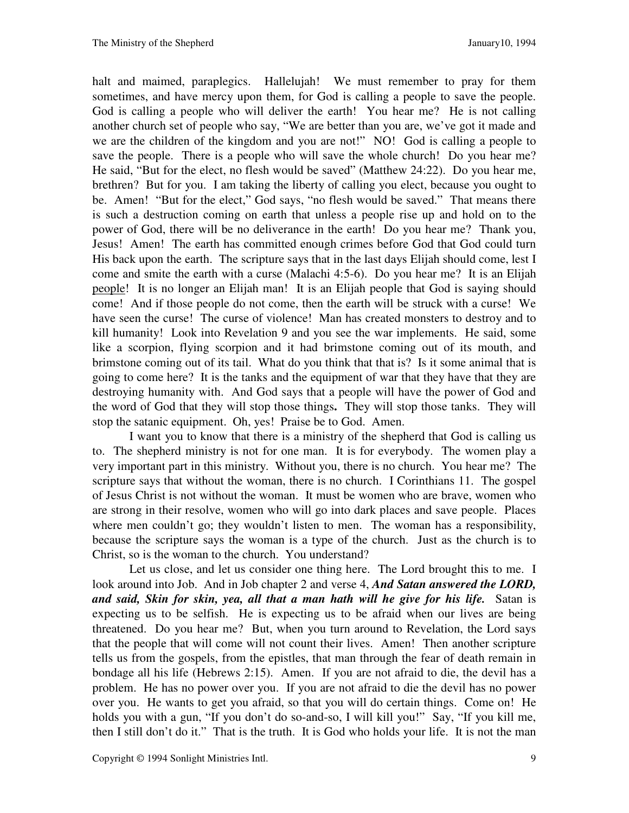halt and maimed, paraplegics. Hallelujah! We must remember to pray for them sometimes, and have mercy upon them, for God is calling a people to save the people. God is calling a people who will deliver the earth! You hear me? He is not calling another church set of people who say, "We are better than you are, we've got it made and we are the children of the kingdom and you are not!" NO! God is calling a people to save the people. There is a people who will save the whole church! Do you hear me? He said, "But for the elect, no flesh would be saved" (Matthew 24:22). Do you hear me, brethren? But for you. I am taking the liberty of calling you elect, because you ought to be. Amen! "But for the elect," God says, "no flesh would be saved." That means there is such a destruction coming on earth that unless a people rise up and hold on to the power of God, there will be no deliverance in the earth! Do you hear me? Thank you, Jesus! Amen! The earth has committed enough crimes before God that God could turn His back upon the earth. The scripture says that in the last days Elijah should come, lest I come and smite the earth with a curse (Malachi 4:5-6). Do you hear me? It is an Elijah people! It is no longer an Elijah man! It is an Elijah people that God is saying should come! And if those people do not come, then the earth will be struck with a curse! We have seen the curse! The curse of violence! Man has created monsters to destroy and to kill humanity! Look into Revelation 9 and you see the war implements. He said, some like a scorpion, flying scorpion and it had brimstone coming out of its mouth, and brimstone coming out of its tail. What do you think that that is? Is it some animal that is going to come here? It is the tanks and the equipment of war that they have that they are destroying humanity with. And God says that a people will have the power of God and the word of God that they will stop those things**.** They will stop those tanks. They will stop the satanic equipment. Oh, yes! Praise be to God. Amen.

I want you to know that there is a ministry of the shepherd that God is calling us to. The shepherd ministry is not for one man. It is for everybody. The women play a very important part in this ministry. Without you, there is no church. You hear me? The scripture says that without the woman, there is no church. I Corinthians 11. The gospel of Jesus Christ is not without the woman. It must be women who are brave, women who are strong in their resolve, women who will go into dark places and save people. Places where men couldn't go; they wouldn't listen to men. The woman has a responsibility, because the scripture says the woman is a type of the church. Just as the church is to Christ, so is the woman to the church. You understand?

Let us close, and let us consider one thing here. The Lord brought this to me. I look around into Job. And in Job chapter 2 and verse 4, *And Satan answered the LORD, and said, Skin for skin, yea, all that a man hath will he give for his life.*Satan is expecting us to be selfish. He is expecting us to be afraid when our lives are being threatened. Do you hear me? But, when you turn around to Revelation, the Lord says that the people that will come will not count their lives. Amen! Then another scripture tells us from the gospels, from the epistles, that man through the fear of death remain in bondage all his life (Hebrews 2:15). Amen. If you are not afraid to die, the devil has a problem. He has no power over you. If you are not afraid to die the devil has no power over you. He wants to get you afraid, so that you will do certain things. Come on! He holds you with a gun, "If you don't do so-and-so, I will kill you!" Say, "If you kill me, then I still don't do it." That is the truth. It is God who holds your life. It is not the man